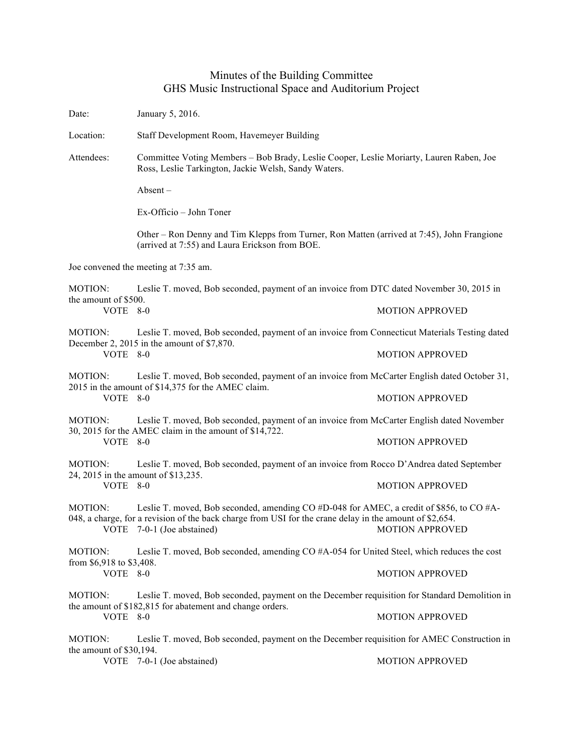## Minutes of the Building Committee GHS Music Instructional Space and Auditorium Project

Date: January 5, 2016. Location: Staff Development Room, Havemeyer Building Attendees: Committee Voting Members – Bob Brady, Leslie Cooper, Leslie Moriarty, Lauren Raben, Joe Ross, Leslie Tarkington, Jackie Welsh, Sandy Waters. Absent – Ex-Officio – John Toner Other – Ron Denny and Tim Klepps from Turner, Ron Matten (arrived at 7:45), John Frangione (arrived at 7:55) and Laura Erickson from BOE. Joe convened the meeting at 7:35 am. MOTION: Leslie T. moved, Bob seconded, payment of an invoice from DTC dated November 30, 2015 in the amount of \$500.<br>VOTE 8-0 **MOTION APPROVED** MOTION: Leslie T. moved, Bob seconded, payment of an invoice from Connecticut Materials Testing dated December 2, 2015 in the amount of \$7,870. VOTE 8-0 MOTION APPROVED MOTION: Leslie T. moved, Bob seconded, payment of an invoice from McCarter English dated October 31, 2015 in the amount of \$14,375 for the AMEC claim. VOTE 8-0 MOTION APPROVED MOTION: Leslie T. moved, Bob seconded, payment of an invoice from McCarter English dated November 30, 2015 for the AMEC claim in the amount of \$14,722. VOTE 8-0 MOTION APPROVED MOTION: Leslie T. moved, Bob seconded, payment of an invoice from Rocco D'Andrea dated September 24, 2015 in the amount of \$13,235. VOTE 8-0 MOTION APPROVED MOTION: Leslie T. moved, Bob seconded, amending CO #D-048 for AMEC, a credit of \$856, to CO #A-048, a charge, for a revision of the back charge from USI for the crane delay in the amount of \$2,654. VOTE 7-0-1 (Joe abstained) MOTION APPROVED MOTION: Leslie T. moved, Bob seconded, amending CO #A-054 for United Steel, which reduces the cost from \$6,918 to \$3,408. VOTE 8-0 MOTION APPROVED MOTION: Leslie T. moved, Bob seconded, payment on the December requisition for Standard Demolition in the amount of \$182,815 for abatement and change orders. VOTE 8-0 MOTION APPROVED MOTION: Leslie T. moved, Bob seconded, payment on the December requisition for AMEC Construction in the amount of \$30,194. VOTE 7-0-1 (Joe abstained) MOTION APPROVED